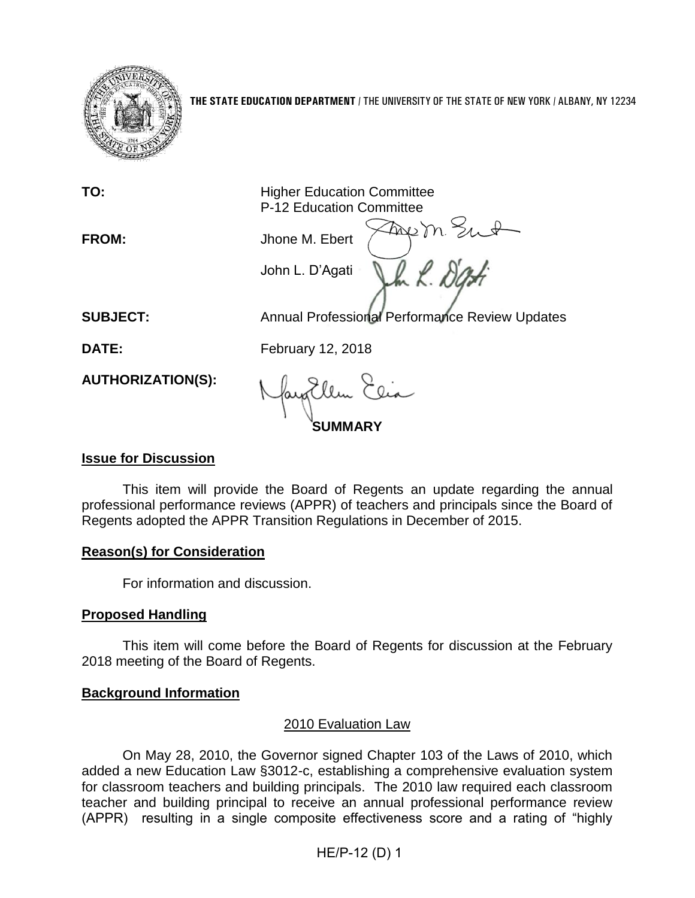

**THE STATE EDUCATION DEPARTMENT** / THE UNIVERSITY OF THE STATE OF NEW YORK / ALBANY, NY 12234

**TO:** Higher Education Committee P-12 Education Committee

**FROM:** Jhone M. Ebert

John L. D'Agati

**SUBJECT:** Annual Professional Performance Review Updates

Freem Sut

**DATE:** February 12, 2018

**AUTHORIZATION(S):**

**SUMMARY**

# **Issue for Discussion**

This item will provide the Board of Regents an update regarding the annual professional performance reviews (APPR) of teachers and principals since the Board of Regents adopted the APPR Transition Regulations in December of 2015.

### **Reason(s) for Consideration**

For information and discussion.

# **Proposed Handling**

This item will come before the Board of Regents for discussion at the February 2018 meeting of the Board of Regents.

### **Background Information**

# 2010 Evaluation Law

On May 28, 2010, the Governor signed Chapter 103 of the Laws of 2010, which added a new Education Law §3012-c, establishing a comprehensive evaluation system for classroom teachers and building principals. The 2010 law required each classroom teacher and building principal to receive an annual professional performance review (APPR) resulting in a single composite effectiveness score and a rating of "highly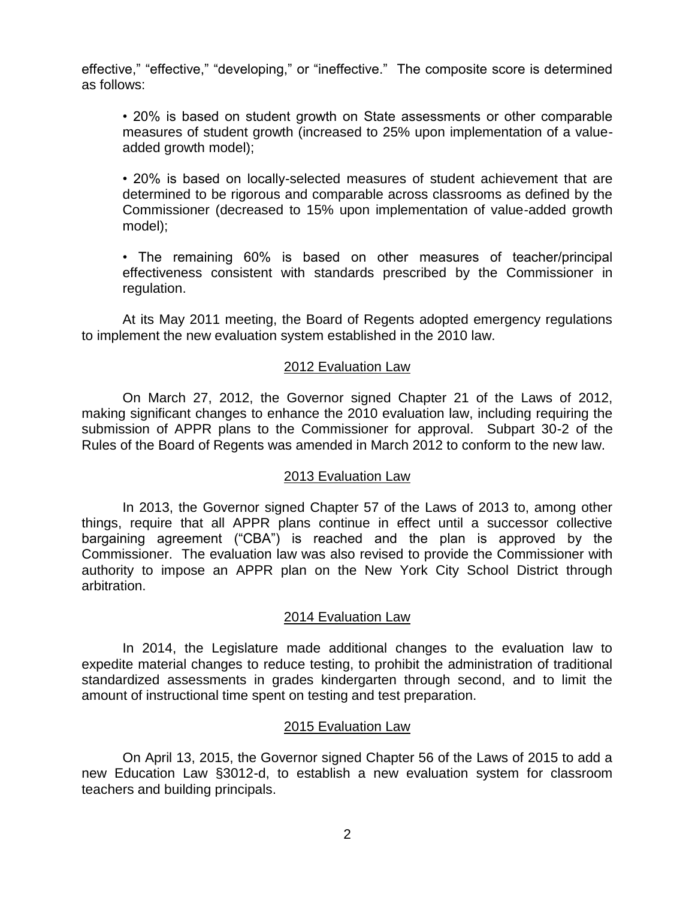effective," "effective," "developing," or "ineffective." The composite score is determined as follows:

• 20% is based on student growth on State assessments or other comparable measures of student growth (increased to 25% upon implementation of a valueadded growth model);

• 20% is based on locally-selected measures of student achievement that are determined to be rigorous and comparable across classrooms as defined by the Commissioner (decreased to 15% upon implementation of value-added growth model);

• The remaining 60% is based on other measures of teacher/principal effectiveness consistent with standards prescribed by the Commissioner in regulation.

At its May 2011 meeting, the Board of Regents adopted emergency regulations to implement the new evaluation system established in the 2010 law.

### 2012 Evaluation Law

On March 27, 2012, the Governor signed Chapter 21 of the Laws of 2012, making significant changes to enhance the 2010 evaluation law, including requiring the submission of APPR plans to the Commissioner for approval. Subpart 30-2 of the Rules of the Board of Regents was amended in March 2012 to conform to the new law.

#### 2013 Evaluation Law

In 2013, the Governor signed Chapter 57 of the Laws of 2013 to, among other things, require that all APPR plans continue in effect until a successor collective bargaining agreement ("CBA") is reached and the plan is approved by the Commissioner. The evaluation law was also revised to provide the Commissioner with authority to impose an APPR plan on the New York City School District through arbitration.

### 2014 Evaluation Law

In 2014, the Legislature made additional changes to the evaluation law to expedite material changes to reduce testing, to prohibit the administration of traditional standardized assessments in grades kindergarten through second, and to limit the amount of instructional time spent on testing and test preparation.

### 2015 Evaluation Law

On April 13, 2015, the Governor signed Chapter 56 of the Laws of 2015 to add a new Education Law §3012-d, to establish a new evaluation system for classroom teachers and building principals.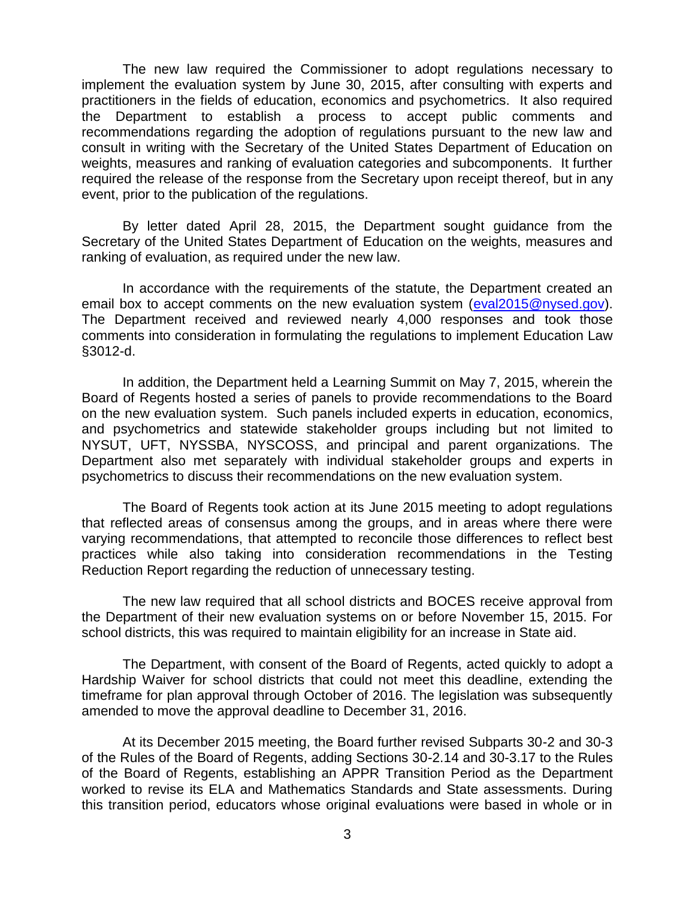The new law required the Commissioner to adopt regulations necessary to implement the evaluation system by June 30, 2015, after consulting with experts and practitioners in the fields of education, economics and psychometrics. It also required the Department to establish a process to accept public comments and recommendations regarding the adoption of regulations pursuant to the new law and consult in writing with the Secretary of the United States Department of Education on weights, measures and ranking of evaluation categories and subcomponents. It further required the release of the response from the Secretary upon receipt thereof, but in any event, prior to the publication of the regulations.

By letter dated April 28, 2015, the Department sought guidance from the Secretary of the United States Department of Education on the weights, measures and ranking of evaluation, as required under the new law.

In accordance with the requirements of the statute, the Department created an email box to accept comments on the new evaluation system [\(eval2015@nysed.gov\)](mailto:eval2015@nysed.gov). The Department received and reviewed nearly 4,000 responses and took those comments into consideration in formulating the regulations to implement Education Law §3012-d.

In addition, the Department held a Learning Summit on May 7, 2015, wherein the Board of Regents hosted a series of panels to provide recommendations to the Board on the new evaluation system. Such panels included experts in education, economics, and psychometrics and statewide stakeholder groups including but not limited to NYSUT, UFT, NYSSBA, NYSCOSS, and principal and parent organizations. The Department also met separately with individual stakeholder groups and experts in psychometrics to discuss their recommendations on the new evaluation system.

The Board of Regents took action at its June 2015 meeting to adopt regulations that reflected areas of consensus among the groups, and in areas where there were varying recommendations, that attempted to reconcile those differences to reflect best practices while also taking into consideration recommendations in the Testing Reduction Report regarding the reduction of unnecessary testing.

The new law required that all school districts and BOCES receive approval from the Department of their new evaluation systems on or before November 15, 2015. For school districts, this was required to maintain eligibility for an increase in State aid.

The Department, with consent of the Board of Regents, acted quickly to adopt a Hardship Waiver for school districts that could not meet this deadline, extending the timeframe for plan approval through October of 2016. The legislation was subsequently amended to move the approval deadline to December 31, 2016.

At its December 2015 meeting, the Board further revised Subparts 30-2 and 30-3 of the Rules of the Board of Regents, adding Sections 30-2.14 and 30-3.17 to the Rules of the Board of Regents, establishing an APPR Transition Period as the Department worked to revise its ELA and Mathematics Standards and State assessments. During this transition period, educators whose original evaluations were based in whole or in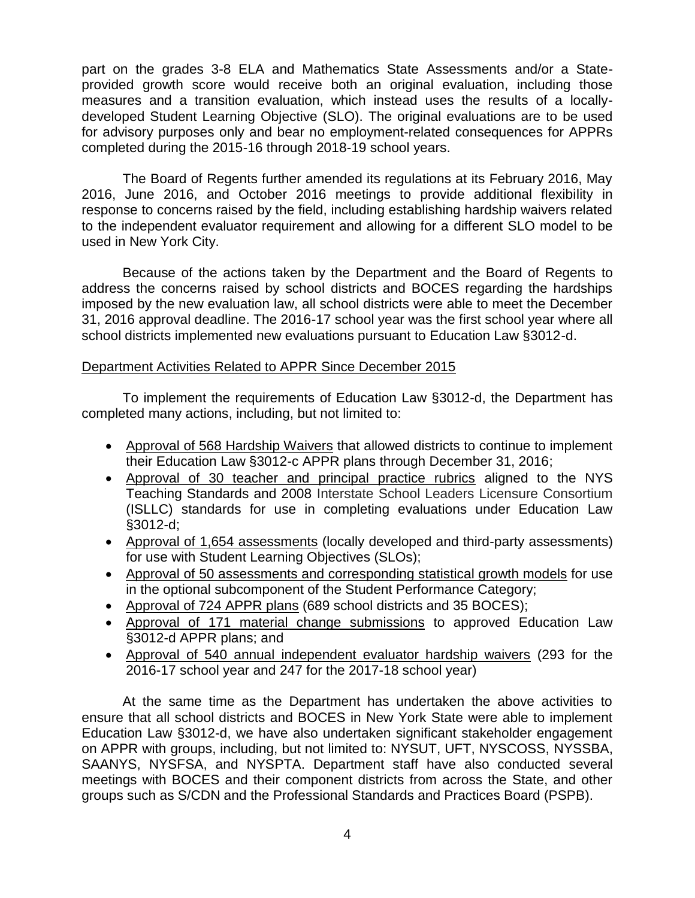part on the grades 3-8 ELA and Mathematics State Assessments and/or a Stateprovided growth score would receive both an original evaluation, including those measures and a transition evaluation, which instead uses the results of a locallydeveloped Student Learning Objective (SLO). The original evaluations are to be used for advisory purposes only and bear no employment-related consequences for APPRs completed during the 2015-16 through 2018-19 school years.

The Board of Regents further amended its regulations at its February 2016, May 2016, June 2016, and October 2016 meetings to provide additional flexibility in response to concerns raised by the field, including establishing hardship waivers related to the independent evaluator requirement and allowing for a different SLO model to be used in New York City.

Because of the actions taken by the Department and the Board of Regents to address the concerns raised by school districts and BOCES regarding the hardships imposed by the new evaluation law, all school districts were able to meet the December 31, 2016 approval deadline. The 2016-17 school year was the first school year where all school districts implemented new evaluations pursuant to Education Law §3012-d.

#### Department Activities Related to APPR Since December 2015

To implement the requirements of Education Law §3012-d, the Department has completed many actions, including, but not limited to:

- Approval of 568 Hardship Waivers that allowed districts to continue to implement their Education Law §3012-c APPR plans through December 31, 2016;
- Approval of 30 teacher and principal practice rubrics aligned to the NYS Teaching Standards and 2008 Interstate School Leaders Licensure Consortium (ISLLC) standards for use in completing evaluations under Education Law §3012-d;
- Approval of 1,654 assessments (locally developed and third-party assessments) for use with Student Learning Objectives (SLOs);
- Approval of 50 assessments and corresponding statistical growth models for use in the optional subcomponent of the Student Performance Category;
- Approval of 724 APPR plans (689 school districts and 35 BOCES);
- Approval of 171 material change submissions to approved Education Law §3012-d APPR plans; and
- Approval of 540 annual independent evaluator hardship waivers (293 for the 2016-17 school year and 247 for the 2017-18 school year)

At the same time as the Department has undertaken the above activities to ensure that all school districts and BOCES in New York State were able to implement Education Law §3012-d, we have also undertaken significant stakeholder engagement on APPR with groups, including, but not limited to: NYSUT, UFT, NYSCOSS, NYSSBA, SAANYS, NYSFSA, and NYSPTA. Department staff have also conducted several meetings with BOCES and their component districts from across the State, and other groups such as S/CDN and the Professional Standards and Practices Board (PSPB).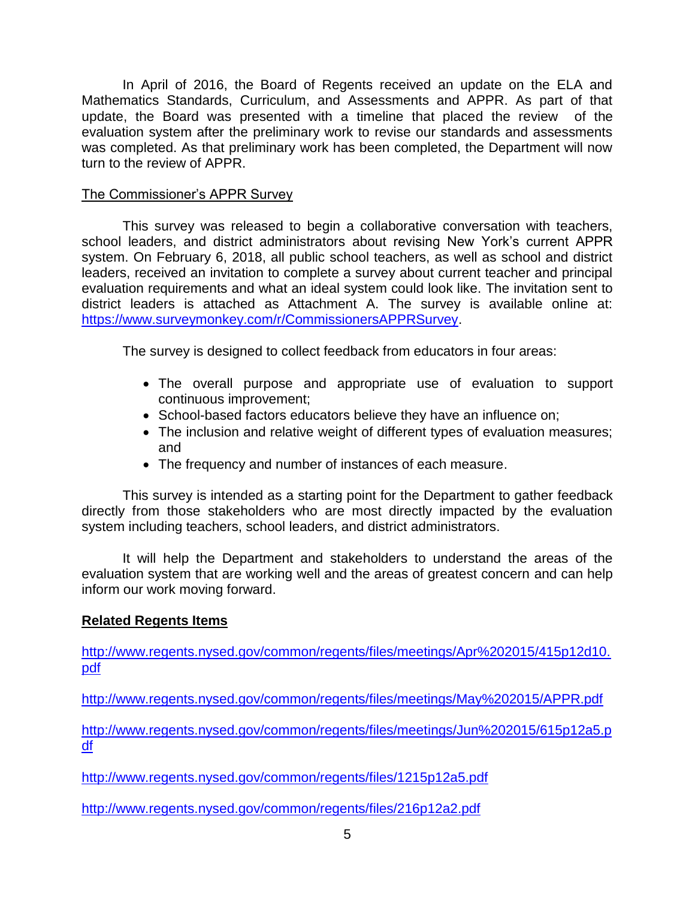In April of 2016, the Board of Regents received an update on the ELA and Mathematics Standards, Curriculum, and Assessments and APPR. As part of that update, the Board was presented with a timeline that placed the review of the evaluation system after the preliminary work to revise our standards and assessments was completed. As that preliminary work has been completed, the Department will now turn to the review of APPR.

#### The Commissioner's APPR Survey

This survey was released to begin a collaborative conversation with teachers, school leaders, and district administrators about revising New York's current APPR system. On February 6, 2018, all public school teachers, as well as school and district leaders, received an invitation to complete a survey about current teacher and principal evaluation requirements and what an ideal system could look like. The invitation sent to district leaders is attached as Attachment A. The survey is available online at: [https://www.surveymonkey.com/r/CommissionersAPPRSurvey.](https://www.surveymonkey.com/r/CommissionersAPPRSurvey)

The survey is designed to collect feedback from educators in four areas:

- The overall purpose and appropriate use of evaluation to support continuous improvement;
- School-based factors educators believe they have an influence on;
- The inclusion and relative weight of different types of evaluation measures; and
- The frequency and number of instances of each measure.

This survey is intended as a starting point for the Department to gather feedback directly from those stakeholders who are most directly impacted by the evaluation system including teachers, school leaders, and district administrators.

It will help the Department and stakeholders to understand the areas of the evaluation system that are working well and the areas of greatest concern and can help inform our work moving forward.

### **Related Regents Items**

[http://www.regents.nysed.gov/common/regents/files/meetings/Apr%202015/415p12d10.](http://www.regents.nysed.gov/common/regents/files/meetings/Apr%202015/415p12d10.pdf) [pdf](http://www.regents.nysed.gov/common/regents/files/meetings/Apr%202015/415p12d10.pdf)

<http://www.regents.nysed.gov/common/regents/files/meetings/May%202015/APPR.pdf>

[http://www.regents.nysed.gov/common/regents/files/meetings/Jun%202015/615p12a5.p](http://www.regents.nysed.gov/common/regents/files/meetings/Jun%202015/615p12a5.pdf) [df](http://www.regents.nysed.gov/common/regents/files/meetings/Jun%202015/615p12a5.pdf)

<http://www.regents.nysed.gov/common/regents/files/1215p12a5.pdf>

<http://www.regents.nysed.gov/common/regents/files/216p12a2.pdf>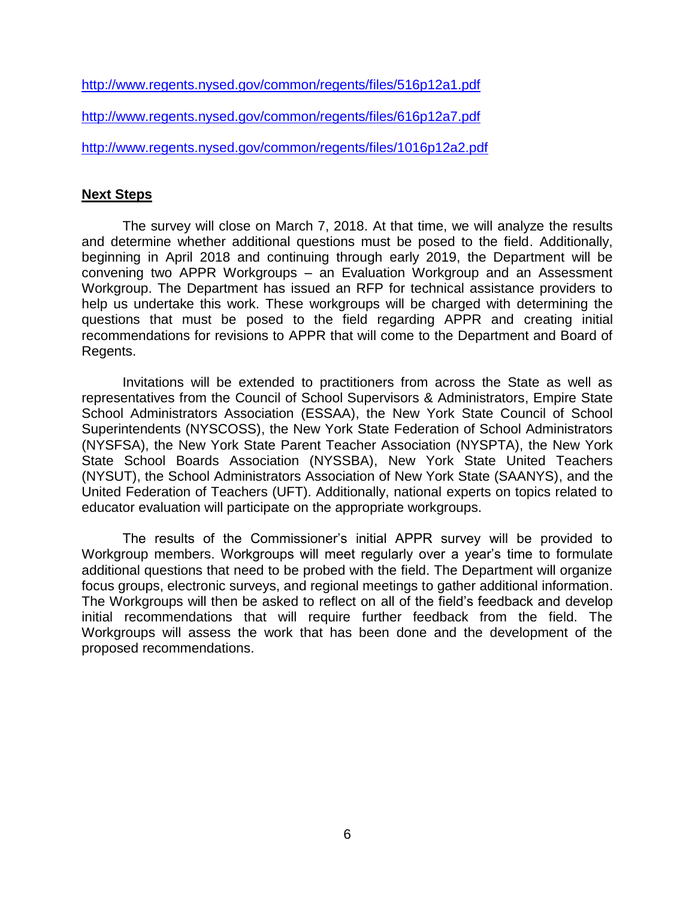<http://www.regents.nysed.gov/common/regents/files/516p12a1.pdf>

<http://www.regents.nysed.gov/common/regents/files/616p12a7.pdf>

<http://www.regents.nysed.gov/common/regents/files/1016p12a2.pdf>

#### **Next Steps**

The survey will close on March 7, 2018. At that time, we will analyze the results and determine whether additional questions must be posed to the field. Additionally, beginning in April 2018 and continuing through early 2019, the Department will be convening two APPR Workgroups – an Evaluation Workgroup and an Assessment Workgroup. The Department has issued an RFP for technical assistance providers to help us undertake this work. These workgroups will be charged with determining the questions that must be posed to the field regarding APPR and creating initial recommendations for revisions to APPR that will come to the Department and Board of Regents.

Invitations will be extended to practitioners from across the State as well as representatives from the Council of School Supervisors & Administrators, Empire State School Administrators Association (ESSAA), the New York State Council of School Superintendents (NYSCOSS), the New York State Federation of School Administrators (NYSFSA), the New York State Parent Teacher Association (NYSPTA), the New York State School Boards Association (NYSSBA), New York State United Teachers (NYSUT), the School Administrators Association of New York State (SAANYS), and the United Federation of Teachers (UFT). Additionally, national experts on topics related to educator evaluation will participate on the appropriate workgroups.

The results of the Commissioner's initial APPR survey will be provided to Workgroup members. Workgroups will meet regularly over a year's time to formulate additional questions that need to be probed with the field. The Department will organize focus groups, electronic surveys, and regional meetings to gather additional information. The Workgroups will then be asked to reflect on all of the field's feedback and develop initial recommendations that will require further feedback from the field. The Workgroups will assess the work that has been done and the development of the proposed recommendations.